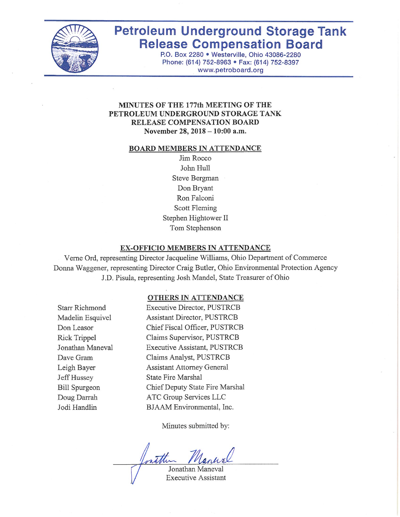

# **Petroleum Underground Storage Tank Release Compensation Board**

P.O. Box 2280 . Westerville, Ohio 43086-2280 Phone: (614) 752-8963 · Fax: (614) 752-8397 www.petroboard.org

#### **MINUTES OF THE 177th MEETING OF THE** PETROLEUM UNDERGROUND STORAGE TANK **RELEASE COMPENSATION BOARD** November 28, 2018 - 10:00 a.m.

#### **BOARD MEMBERS IN ATTENDANCE**

Jim Rocco John Hull Steve Bergman Don Bryant Ron Falconi Scott Fleming Stephen Hightower II Tom Stephenson

#### **EX-OFFICIO MEMBERS IN ATTENDANCE**

Verne Ord, representing Director Jacqueline Williams, Ohio Department of Commerce Donna Waggener, representing Director Craig Butler, Ohio Environmental Protection Agency J.D. Pisula, representing Josh Mandel, State Treasurer of Ohio

#### OTHERS IN ATTENDANCE

**Starr Richmond** Madelin Esquivel Don Leasor **Rick Trippel** Jonathan Maneval Dave Gram Leigh Bayer Jeff Hussey **Bill Spurgeon** Doug Darrah Jodi Handlin

**Executive Director, PUSTRCB** Assistant Director, PUSTRCB Chief Fiscal Officer, PUSTRCB Claims Supervisor, PUSTRCB Executive Assistant, PUSTRCB Claims Analyst, PUSTRCB **Assistant Attorney General State Fire Marshal** Chief Deputy State Fire Marshal ATC Group Services LLC BJAAM Environmental, Inc.

Minutes submitted by:

Jonathan Maneval **Executive Assistant**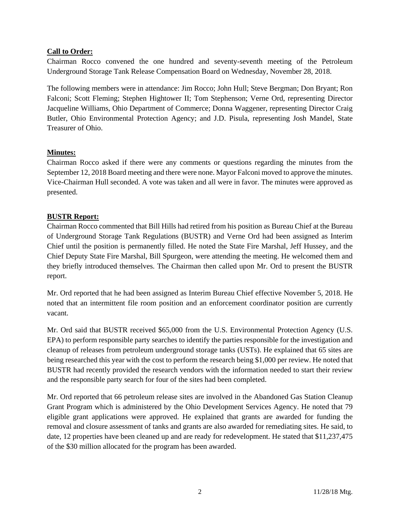#### **Call to Order:**

Chairman Rocco convened the one hundred and seventy-seventh meeting of the Petroleum Underground Storage Tank Release Compensation Board on Wednesday, November 28, 2018.

The following members were in attendance: Jim Rocco; John Hull; Steve Bergman; Don Bryant; Ron Falconi; Scott Fleming; Stephen Hightower II; Tom Stephenson; Verne Ord, representing Director Jacqueline Williams, Ohio Department of Commerce; Donna Waggener, representing Director Craig Butler, Ohio Environmental Protection Agency; and J.D. Pisula, representing Josh Mandel, State Treasurer of Ohio.

#### **Minutes:**

Chairman Rocco asked if there were any comments or questions regarding the minutes from the September 12, 2018 Board meeting and there were none. Mayor Falconi moved to approve the minutes. Vice-Chairman Hull seconded. A vote was taken and all were in favor. The minutes were approved as presented.

#### **BUSTR Report:**

Chairman Rocco commented that Bill Hills had retired from his position as Bureau Chief at the Bureau of Underground Storage Tank Regulations (BUSTR) and Verne Ord had been assigned as Interim Chief until the position is permanently filled. He noted the State Fire Marshal, Jeff Hussey, and the Chief Deputy State Fire Marshal, Bill Spurgeon, were attending the meeting. He welcomed them and they briefly introduced themselves. The Chairman then called upon Mr. Ord to present the BUSTR report.

Mr. Ord reported that he had been assigned as Interim Bureau Chief effective November 5, 2018. He noted that an intermittent file room position and an enforcement coordinator position are currently vacant.

Mr. Ord said that BUSTR received \$65,000 from the U.S. Environmental Protection Agency (U.S. EPA) to perform responsible party searches to identify the parties responsible for the investigation and cleanup of releases from petroleum underground storage tanks (USTs). He explained that 65 sites are being researched this year with the cost to perform the research being \$1,000 per review. He noted that BUSTR had recently provided the research vendors with the information needed to start their review and the responsible party search for four of the sites had been completed.

Mr. Ord reported that 66 petroleum release sites are involved in the Abandoned Gas Station Cleanup Grant Program which is administered by the Ohio Development Services Agency. He noted that 79 eligible grant applications were approved. He explained that grants are awarded for funding the removal and closure assessment of tanks and grants are also awarded for remediating sites. He said, to date, 12 properties have been cleaned up and are ready for redevelopment. He stated that \$11,237,475 of the \$30 million allocated for the program has been awarded.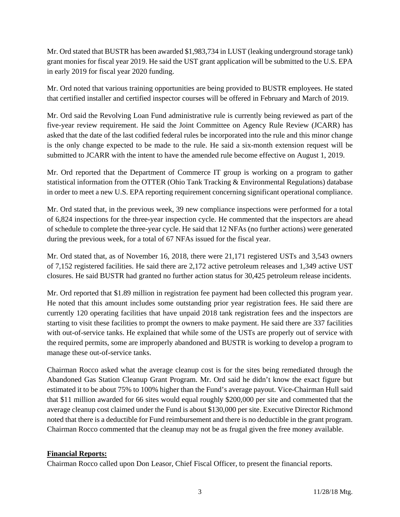Mr. Ord stated that BUSTR has been awarded \$1,983,734 in LUST (leaking underground storage tank) grant monies for fiscal year 2019. He said the UST grant application will be submitted to the U.S. EPA in early 2019 for fiscal year 2020 funding.

Mr. Ord noted that various training opportunities are being provided to BUSTR employees. He stated that certified installer and certified inspector courses will be offered in February and March of 2019.

Mr. Ord said the Revolving Loan Fund administrative rule is currently being reviewed as part of the five-year review requirement. He said the Joint Committee on Agency Rule Review (JCARR) has asked that the date of the last codified federal rules be incorporated into the rule and this minor change is the only change expected to be made to the rule. He said a six-month extension request will be submitted to JCARR with the intent to have the amended rule become effective on August 1, 2019.

Mr. Ord reported that the Department of Commerce IT group is working on a program to gather statistical information from the OTTER (Ohio Tank Tracking & Environmental Regulations) database in order to meet a new U.S. EPA reporting requirement concerning significant operational compliance.

Mr. Ord stated that, in the previous week, 39 new compliance inspections were performed for a total of 6,824 inspections for the three-year inspection cycle. He commented that the inspectors are ahead of schedule to complete the three-year cycle. He said that 12 NFAs (no further actions) were generated during the previous week, for a total of 67 NFAs issued for the fiscal year.

Mr. Ord stated that, as of November 16, 2018, there were 21,171 registered USTs and 3,543 owners of 7,152 registered facilities. He said there are 2,172 active petroleum releases and 1,349 active UST closures. He said BUSTR had granted no further action status for 30,425 petroleum release incidents.

Mr. Ord reported that \$1.89 million in registration fee payment had been collected this program year. He noted that this amount includes some outstanding prior year registration fees. He said there are currently 120 operating facilities that have unpaid 2018 tank registration fees and the inspectors are starting to visit these facilities to prompt the owners to make payment. He said there are 337 facilities with out-of-service tanks. He explained that while some of the USTs are properly out of service with the required permits, some are improperly abandoned and BUSTR is working to develop a program to manage these out-of-service tanks.

Chairman Rocco asked what the average cleanup cost is for the sites being remediated through the Abandoned Gas Station Cleanup Grant Program. Mr. Ord said he didn't know the exact figure but estimated it to be about 75% to 100% higher than the Fund's average payout. Vice-Chairman Hull said that \$11 million awarded for 66 sites would equal roughly \$200,000 per site and commented that the average cleanup cost claimed under the Fund is about \$130,000 per site. Executive Director Richmond noted that there is a deductible for Fund reimbursement and there is no deductible in the grant program. Chairman Rocco commented that the cleanup may not be as frugal given the free money available.

## **Financial Reports:**

Chairman Rocco called upon Don Leasor, Chief Fiscal Officer, to present the financial reports.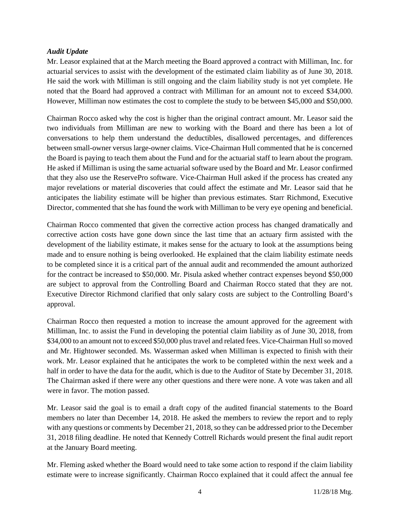#### *Audit Update*

Mr. Leasor explained that at the March meeting the Board approved a contract with Milliman, Inc. for actuarial services to assist with the development of the estimated claim liability as of June 30, 2018. He said the work with Milliman is still ongoing and the claim liability study is not yet complete. He noted that the Board had approved a contract with Milliman for an amount not to exceed \$34,000. However, Milliman now estimates the cost to complete the study to be between \$45,000 and \$50,000.

Chairman Rocco asked why the cost is higher than the original contract amount. Mr. Leasor said the two individuals from Milliman are new to working with the Board and there has been a lot of conversations to help them understand the deductibles, disallowed percentages, and differences between small-owner versus large-owner claims. Vice-Chairman Hull commented that he is concerned the Board is paying to teach them about the Fund and for the actuarial staff to learn about the program. He asked if Milliman is using the same actuarial software used by the Board and Mr. Leasor confirmed that they also use the ReservePro software. Vice-Chairman Hull asked if the process has created any major revelations or material discoveries that could affect the estimate and Mr. Leasor said that he anticipates the liability estimate will be higher than previous estimates. Starr Richmond, Executive Director, commented that she has found the work with Milliman to be very eye opening and beneficial.

Chairman Rocco commented that given the corrective action process has changed dramatically and corrective action costs have gone down since the last time that an actuary firm assisted with the development of the liability estimate, it makes sense for the actuary to look at the assumptions being made and to ensure nothing is being overlooked. He explained that the claim liability estimate needs to be completed since it is a critical part of the annual audit and recommended the amount authorized for the contract be increased to \$50,000. Mr. Pisula asked whether contract expenses beyond \$50,000 are subject to approval from the Controlling Board and Chairman Rocco stated that they are not. Executive Director Richmond clarified that only salary costs are subject to the Controlling Board's approval.

Chairman Rocco then requested a motion to increase the amount approved for the agreement with Milliman, Inc. to assist the Fund in developing the potential claim liability as of June 30, 2018, from \$34,000 to an amount not to exceed \$50,000 plus travel and related fees. Vice-Chairman Hull so moved and Mr. Hightower seconded. Ms. Wasserman asked when Milliman is expected to finish with their work. Mr. Leasor explained that he anticipates the work to be completed within the next week and a half in order to have the data for the audit, which is due to the Auditor of State by December 31, 2018. The Chairman asked if there were any other questions and there were none. A vote was taken and all were in favor. The motion passed.

Mr. Leasor said the goal is to email a draft copy of the audited financial statements to the Board members no later than December 14, 2018. He asked the members to review the report and to reply with any questions or comments by December 21, 2018, so they can be addressed prior to the December 31, 2018 filing deadline. He noted that Kennedy Cottrell Richards would present the final audit report at the January Board meeting.

Mr. Fleming asked whether the Board would need to take some action to respond if the claim liability estimate were to increase significantly. Chairman Rocco explained that it could affect the annual fee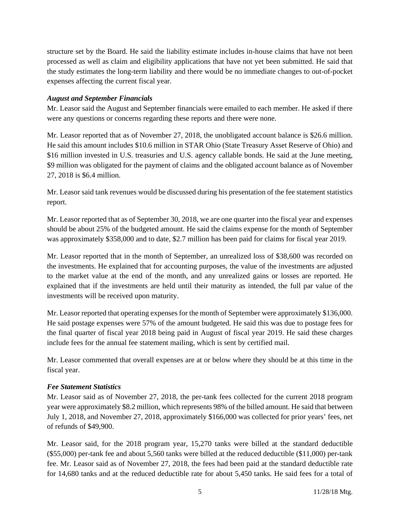structure set by the Board. He said the liability estimate includes in-house claims that have not been processed as well as claim and eligibility applications that have not yet been submitted. He said that the study estimates the long-term liability and there would be no immediate changes to out-of-pocket expenses affecting the current fiscal year.

#### *August and September Financials*

Mr. Leasor said the August and September financials were emailed to each member. He asked if there were any questions or concerns regarding these reports and there were none.

Mr. Leasor reported that as of November 27, 2018, the unobligated account balance is \$26.6 million. He said this amount includes \$10.6 million in STAR Ohio (State Treasury Asset Reserve of Ohio) and \$16 million invested in U.S. treasuries and U.S. agency callable bonds. He said at the June meeting, \$9 million was obligated for the payment of claims and the obligated account balance as of November 27, 2018 is \$6.4 million.

Mr. Leasor said tank revenues would be discussed during his presentation of the fee statement statistics report.

Mr. Leasor reported that as of September 30, 2018, we are one quarter into the fiscal year and expenses should be about 25% of the budgeted amount. He said the claims expense for the month of September was approximately \$358,000 and to date, \$2.7 million has been paid for claims for fiscal year 2019.

Mr. Leasor reported that in the month of September, an unrealized loss of \$38,600 was recorded on the investments. He explained that for accounting purposes, the value of the investments are adjusted to the market value at the end of the month, and any unrealized gains or losses are reported. He explained that if the investments are held until their maturity as intended, the full par value of the investments will be received upon maturity.

Mr. Leasor reported that operating expenses for the month of September were approximately \$136,000. He said postage expenses were 57% of the amount budgeted. He said this was due to postage fees for the final quarter of fiscal year 2018 being paid in August of fiscal year 2019. He said these charges include fees for the annual fee statement mailing, which is sent by certified mail.

Mr. Leasor commented that overall expenses are at or below where they should be at this time in the fiscal year.

#### *Fee Statement Statistics*

Mr. Leasor said as of November 27, 2018, the per-tank fees collected for the current 2018 program year were approximately \$8.2 million, which represents 98% of the billed amount. He said that between July 1, 2018, and November 27, 2018, approximately \$166,000 was collected for prior years' fees, net of refunds of \$49,900.

Mr. Leasor said, for the 2018 program year, 15,270 tanks were billed at the standard deductible (\$55,000) per-tank fee and about 5,560 tanks were billed at the reduced deductible (\$11,000) per-tank fee. Mr. Leasor said as of November 27, 2018, the fees had been paid at the standard deductible rate for 14,680 tanks and at the reduced deductible rate for about 5,450 tanks. He said fees for a total of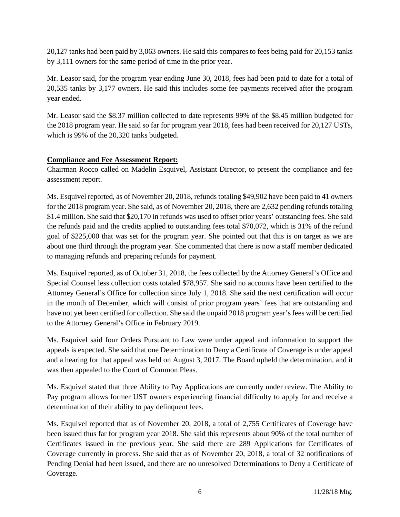20,127 tanks had been paid by 3,063 owners. He said this compares to fees being paid for 20,153 tanks by 3,111 owners for the same period of time in the prior year.

Mr. Leasor said, for the program year ending June 30, 2018, fees had been paid to date for a total of 20,535 tanks by 3,177 owners. He said this includes some fee payments received after the program year ended.

Mr. Leasor said the \$8.37 million collected to date represents 99% of the \$8.45 million budgeted for the 2018 program year. He said so far for program year 2018, fees had been received for 20,127 USTs, which is 99% of the 20,320 tanks budgeted.

## **Compliance and Fee Assessment Report:**

Chairman Rocco called on Madelin Esquivel, Assistant Director, to present the compliance and fee assessment report.

Ms. Esquivel reported, as of November 20, 2018, refunds totaling \$49,902 have been paid to 41 owners for the 2018 program year. She said, as of November 20, 2018, there are 2,632 pending refunds totaling \$1.4 million. She said that \$20,170 in refunds was used to offset prior years' outstanding fees. She said the refunds paid and the credits applied to outstanding fees total \$70,072, which is 31% of the refund goal of \$225,000 that was set for the program year. She pointed out that this is on target as we are about one third through the program year. She commented that there is now a staff member dedicated to managing refunds and preparing refunds for payment.

Ms. Esquivel reported, as of October 31, 2018, the fees collected by the Attorney General's Office and Special Counsel less collection costs totaled \$78,957. She said no accounts have been certified to the Attorney General's Office for collection since July 1, 2018. She said the next certification will occur in the month of December, which will consist of prior program years' fees that are outstanding and have not yet been certified for collection. She said the unpaid 2018 program year's fees will be certified to the Attorney General's Office in February 2019.

Ms. Esquivel said four Orders Pursuant to Law were under appeal and information to support the appeals is expected. She said that one Determination to Deny a Certificate of Coverage is under appeal and a hearing for that appeal was held on August 3, 2017. The Board upheld the determination, and it was then appealed to the Court of Common Pleas.

Ms. Esquivel stated that three Ability to Pay Applications are currently under review. The Ability to Pay program allows former UST owners experiencing financial difficulty to apply for and receive a determination of their ability to pay delinquent fees.

Ms. Esquivel reported that as of November 20, 2018, a total of 2,755 Certificates of Coverage have been issued thus far for program year 2018. She said this represents about 90% of the total number of Certificates issued in the previous year. She said there are 289 Applications for Certificates of Coverage currently in process. She said that as of November 20, 2018, a total of 32 notifications of Pending Denial had been issued, and there are no unresolved Determinations to Deny a Certificate of Coverage.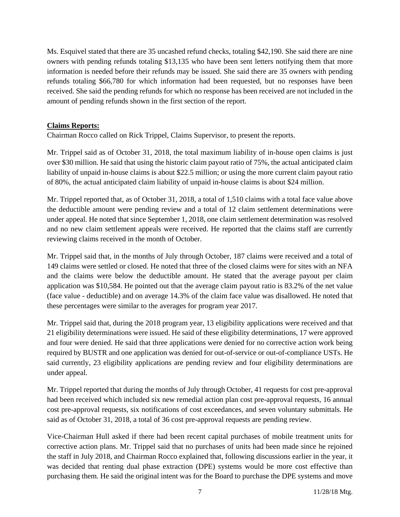Ms. Esquivel stated that there are 35 uncashed refund checks, totaling \$42,190. She said there are nine owners with pending refunds totaling \$13,135 who have been sent letters notifying them that more information is needed before their refunds may be issued. She said there are 35 owners with pending refunds totaling \$66,780 for which information had been requested, but no responses have been received. She said the pending refunds for which no response has been received are not included in the amount of pending refunds shown in the first section of the report.

#### **Claims Reports:**

Chairman Rocco called on Rick Trippel, Claims Supervisor, to present the reports.

Mr. Trippel said as of October 31, 2018, the total maximum liability of in-house open claims is just over \$30 million. He said that using the historic claim payout ratio of 75%, the actual anticipated claim liability of unpaid in-house claims is about \$22.5 million; or using the more current claim payout ratio of 80%, the actual anticipated claim liability of unpaid in-house claims is about \$24 million.

Mr. Trippel reported that, as of October 31, 2018, a total of 1,510 claims with a total face value above the deductible amount were pending review and a total of 12 claim settlement determinations were under appeal. He noted that since September 1, 2018, one claim settlement determination was resolved and no new claim settlement appeals were received. He reported that the claims staff are currently reviewing claims received in the month of October.

Mr. Trippel said that, in the months of July through October, 187 claims were received and a total of 149 claims were settled or closed. He noted that three of the closed claims were for sites with an NFA and the claims were below the deductible amount. He stated that the average payout per claim application was \$10,584. He pointed out that the average claim payout ratio is 83.2% of the net value (face value - deductible) and on average 14.3% of the claim face value was disallowed. He noted that these percentages were similar to the averages for program year 2017.

Mr. Trippel said that, during the 2018 program year, 13 eligibility applications were received and that 21 eligibility determinations were issued. He said of these eligibility determinations, 17 were approved and four were denied. He said that three applications were denied for no corrective action work being required by BUSTR and one application was denied for out-of-service or out-of-compliance USTs. He said currently, 23 eligibility applications are pending review and four eligibility determinations are under appeal.

Mr. Trippel reported that during the months of July through October, 41 requests for cost pre-approval had been received which included six new remedial action plan cost pre-approval requests, 16 annual cost pre-approval requests, six notifications of cost exceedances, and seven voluntary submittals. He said as of October 31, 2018, a total of 36 cost pre-approval requests are pending review.

Vice-Chairman Hull asked if there had been recent capital purchases of mobile treatment units for corrective action plans. Mr. Trippel said that no purchases of units had been made since he rejoined the staff in July 2018, and Chairman Rocco explained that, following discussions earlier in the year, it was decided that renting dual phase extraction (DPE) systems would be more cost effective than purchasing them. He said the original intent was for the Board to purchase the DPE systems and move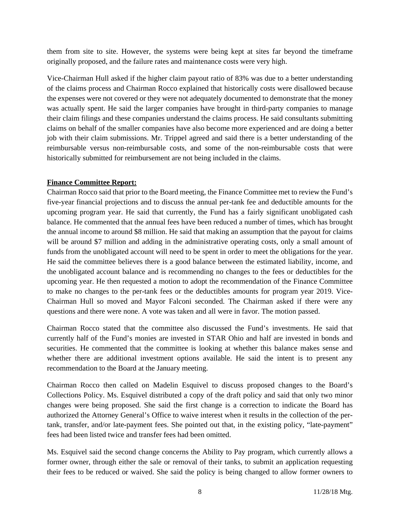them from site to site. However, the systems were being kept at sites far beyond the timeframe originally proposed, and the failure rates and maintenance costs were very high.

Vice-Chairman Hull asked if the higher claim payout ratio of 83% was due to a better understanding of the claims process and Chairman Rocco explained that historically costs were disallowed because the expenses were not covered or they were not adequately documented to demonstrate that the money was actually spent. He said the larger companies have brought in third-party companies to manage their claim filings and these companies understand the claims process. He said consultants submitting claims on behalf of the smaller companies have also become more experienced and are doing a better job with their claim submissions. Mr. Trippel agreed and said there is a better understanding of the reimbursable versus non-reimbursable costs, and some of the non-reimbursable costs that were historically submitted for reimbursement are not being included in the claims.

#### **Finance Committee Report:**

Chairman Rocco said that prior to the Board meeting, the Finance Committee met to review the Fund's five-year financial projections and to discuss the annual per-tank fee and deductible amounts for the upcoming program year. He said that currently, the Fund has a fairly significant unobligated cash balance. He commented that the annual fees have been reduced a number of times, which has brought the annual income to around \$8 million. He said that making an assumption that the payout for claims will be around \$7 million and adding in the administrative operating costs, only a small amount of funds from the unobligated account will need to be spent in order to meet the obligations for the year. He said the committee believes there is a good balance between the estimated liability, income, and the unobligated account balance and is recommending no changes to the fees or deductibles for the upcoming year. He then requested a motion to adopt the recommendation of the Finance Committee to make no changes to the per-tank fees or the deductibles amounts for program year 2019. Vice-Chairman Hull so moved and Mayor Falconi seconded. The Chairman asked if there were any questions and there were none. A vote was taken and all were in favor. The motion passed.

Chairman Rocco stated that the committee also discussed the Fund's investments. He said that currently half of the Fund's monies are invested in STAR Ohio and half are invested in bonds and securities. He commented that the committee is looking at whether this balance makes sense and whether there are additional investment options available. He said the intent is to present any recommendation to the Board at the January meeting.

Chairman Rocco then called on Madelin Esquivel to discuss proposed changes to the Board's Collections Policy. Ms. Esquivel distributed a copy of the draft policy and said that only two minor changes were being proposed. She said the first change is a correction to indicate the Board has authorized the Attorney General's Office to waive interest when it results in the collection of the pertank, transfer, and/or late-payment fees. She pointed out that, in the existing policy, "late-payment" fees had been listed twice and transfer fees had been omitted.

Ms. Esquivel said the second change concerns the Ability to Pay program, which currently allows a former owner, through either the sale or removal of their tanks, to submit an application requesting their fees to be reduced or waived. She said the policy is being changed to allow former owners to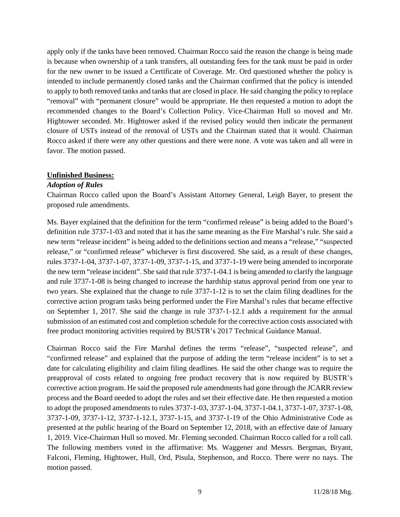apply only if the tanks have been removed. Chairman Rocco said the reason the change is being made is because when ownership of a tank transfers, all outstanding fees for the tank must be paid in order for the new owner to be issued a Certificate of Coverage. Mr. Ord questioned whether the policy is intended to include permanently closed tanks and the Chairman confirmed that the policy is intended to apply to both removed tanks and tanks that are closed in place. He said changing the policy to replace "removal" with "permanent closure" would be appropriate. He then requested a motion to adopt the recommended changes to the Board's Collection Policy. Vice-Chairman Hull so moved and Mr. Hightower seconded. Mr. Hightower asked if the revised policy would then indicate the permanent closure of USTs instead of the removal of USTs and the Chairman stated that it would. Chairman Rocco asked if there were any other questions and there were none. A vote was taken and all were in favor. The motion passed.

#### **Unfinished Business:**

#### *Adoption of Rules*

Chairman Rocco called upon the Board's Assistant Attorney General, Leigh Bayer, to present the proposed rule amendments.

Ms. Bayer explained that the definition for the term "confirmed release" is being added to the Board's definition rule 3737-1-03 and noted that it has the same meaning as the Fire Marshal's rule. She said a new term "release incident" is being added to the definitions section and means a "release," "suspected release," or "confirmed release" whichever is first discovered. She said, as a result of these changes, rules 3737-1-04, 3737-1-07, 3737-1-09, 3737-1-15, and 3737-1-19 were being amended to incorporate the new term "release incident". She said that rule 3737-1-04.1 is being amended to clarify the language and rule 3737-1-08 is being changed to increase the hardship status approval period from one year to two years. She explained that the change to rule 3737-1-12 is to set the claim filing deadlines for the corrective action program tasks being performed under the Fire Marshal's rules that became effective on September 1, 2017. She said the change in rule 3737-1-12.1 adds a requirement for the annual submission of an estimated cost and completion schedule for the corrective action costs associated with free product monitoring activities required by BUSTR's 2017 Technical Guidance Manual.

Chairman Rocco said the Fire Marshal defines the terms "release", "suspected release", and "confirmed release" and explained that the purpose of adding the term "release incident" is to set a date for calculating eligibility and claim filing deadlines. He said the other change was to require the preapproval of costs related to ongoing free product recovery that is now required by BUSTR's corrective action program. He said the proposed rule amendments had gone through the JCARR review process and the Board needed to adopt the rules and set their effective date. He then requested a motion to adopt the proposed amendments to rules 3737-1-03, 3737-1-04, 3737-1-04.1, 3737-1-07, 3737-1-08, 3737-1-09, 3737-1-12, 3737-1-12.1, 3737-1-15, and 3737-1-19 of the Ohio Administrative Code as presented at the public hearing of the Board on September 12, 2018, with an effective date of January 1, 2019. Vice-Chairman Hull so moved. Mr. Fleming seconded. Chairman Rocco called for a roll call. The following members voted in the affirmative: Ms. Waggener and Messrs. Bergman, Bryant, Falconi, Fleming, Hightower, Hull, Ord, Pisula, Stephenson, and Rocco. There were no nays. The motion passed.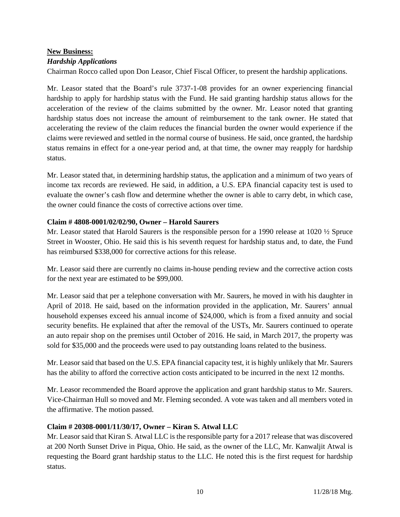# **New Business:**

#### *Hardship Applications*

Chairman Rocco called upon Don Leasor, Chief Fiscal Officer, to present the hardship applications.

Mr. Leasor stated that the Board's rule 3737-1-08 provides for an owner experiencing financial hardship to apply for hardship status with the Fund. He said granting hardship status allows for the acceleration of the review of the claims submitted by the owner. Mr. Leasor noted that granting hardship status does not increase the amount of reimbursement to the tank owner. He stated that accelerating the review of the claim reduces the financial burden the owner would experience if the claims were reviewed and settled in the normal course of business. He said, once granted, the hardship status remains in effect for a one-year period and, at that time, the owner may reapply for hardship status.

Mr. Leasor stated that, in determining hardship status, the application and a minimum of two years of income tax records are reviewed. He said, in addition, a U.S. EPA financial capacity test is used to evaluate the owner's cash flow and determine whether the owner is able to carry debt, in which case, the owner could finance the costs of corrective actions over time.

#### **Claim # 4808-0001/02/02/90, Owner – Harold Saurers**

Mr. Leasor stated that Harold Saurers is the responsible person for a 1990 release at 1020 ½ Spruce Street in Wooster, Ohio. He said this is his seventh request for hardship status and, to date, the Fund has reimbursed \$338,000 for corrective actions for this release.

Mr. Leasor said there are currently no claims in-house pending review and the corrective action costs for the next year are estimated to be \$99,000.

Mr. Leasor said that per a telephone conversation with Mr. Saurers, he moved in with his daughter in April of 2018. He said, based on the information provided in the application, Mr. Saurers' annual household expenses exceed his annual income of \$24,000, which is from a fixed annuity and social security benefits. He explained that after the removal of the USTs, Mr. Saurers continued to operate an auto repair shop on the premises until October of 2016. He said, in March 2017, the property was sold for \$35,000 and the proceeds were used to pay outstanding loans related to the business.

Mr. Leasor said that based on the U.S. EPA financial capacity test, it is highly unlikely that Mr. Saurers has the ability to afford the corrective action costs anticipated to be incurred in the next 12 months.

Mr. Leasor recommended the Board approve the application and grant hardship status to Mr. Saurers. Vice-Chairman Hull so moved and Mr. Fleming seconded. A vote was taken and all members voted in the affirmative. The motion passed.

#### **Claim # 20308-0001/11/30/17, Owner – Kiran S. Atwal LLC**

Mr. Leasor said that Kiran S. Atwal LLC is the responsible party for a 2017 release that was discovered at 200 North Sunset Drive in Piqua, Ohio. He said, as the owner of the LLC, Mr. Kanwaljit Atwal is requesting the Board grant hardship status to the LLC. He noted this is the first request for hardship status.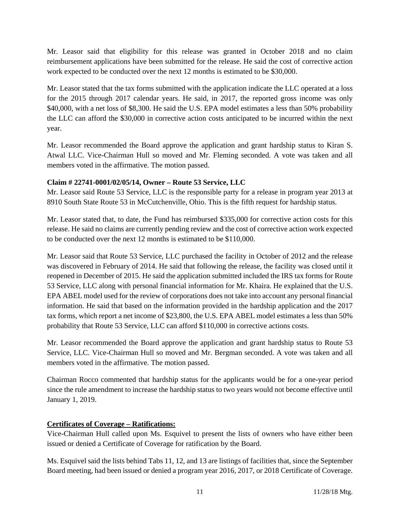Mr. Leasor said that eligibility for this release was granted in October 2018 and no claim reimbursement applications have been submitted for the release. He said the cost of corrective action work expected to be conducted over the next 12 months is estimated to be \$30,000.

Mr. Leasor stated that the tax forms submitted with the application indicate the LLC operated at a loss for the 2015 through 2017 calendar years. He said, in 2017, the reported gross income was only \$40,000, with a net loss of \$8,300. He said the U.S. EPA model estimates a less than 50% probability the LLC can afford the \$30,000 in corrective action costs anticipated to be incurred within the next year.

Mr. Leasor recommended the Board approve the application and grant hardship status to Kiran S. Atwal LLC. Vice-Chairman Hull so moved and Mr. Fleming seconded. A vote was taken and all members voted in the affirmative. The motion passed.

## **Claim # 22741-0001/02/05/14, Owner – Route 53 Service, LLC**

Mr. Leasor said Route 53 Service, LLC is the responsible party for a release in program year 2013 at 8910 South State Route 53 in McCutchenville, Ohio. This is the fifth request for hardship status.

Mr. Leasor stated that, to date, the Fund has reimbursed \$335,000 for corrective action costs for this release. He said no claims are currently pending review and the cost of corrective action work expected to be conducted over the next 12 months is estimated to be \$110,000.

Mr. Leasor said that Route 53 Service, LLC purchased the facility in October of 2012 and the release was discovered in February of 2014. He said that following the release, the facility was closed until it reopened in December of 2015. He said the application submitted included the IRS tax forms for Route 53 Service, LLC along with personal financial information for Mr. Khaira. He explained that the U.S. EPA ABEL model used for the review of corporations does not take into account any personal financial information. He said that based on the information provided in the hardship application and the 2017 tax forms, which report a net income of \$23,800, the U.S. EPA ABEL model estimates a less than 50% probability that Route 53 Service, LLC can afford \$110,000 in corrective actions costs.

Mr. Leasor recommended the Board approve the application and grant hardship status to Route 53 Service, LLC. Vice-Chairman Hull so moved and Mr. Bergman seconded. A vote was taken and all members voted in the affirmative. The motion passed.

Chairman Rocco commented that hardship status for the applicants would be for a one-year period since the rule amendment to increase the hardship status to two years would not become effective until January 1, 2019.

# **Certificates of Coverage – Ratifications:**

Vice-Chairman Hull called upon Ms. Esquivel to present the lists of owners who have either been issued or denied a Certificate of Coverage for ratification by the Board.

Ms. Esquivel said the lists behind Tabs 11, 12, and 13 are listings of facilities that, since the September Board meeting, had been issued or denied a program year 2016, 2017, or 2018 Certificate of Coverage.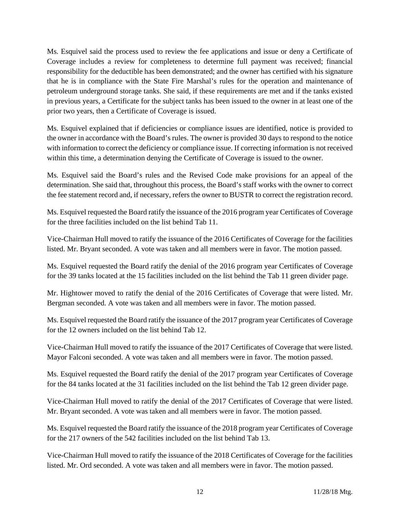Ms. Esquivel said the process used to review the fee applications and issue or deny a Certificate of Coverage includes a review for completeness to determine full payment was received; financial responsibility for the deductible has been demonstrated; and the owner has certified with his signature that he is in compliance with the State Fire Marshal's rules for the operation and maintenance of petroleum underground storage tanks. She said, if these requirements are met and if the tanks existed in previous years, a Certificate for the subject tanks has been issued to the owner in at least one of the prior two years, then a Certificate of Coverage is issued.

Ms. Esquivel explained that if deficiencies or compliance issues are identified, notice is provided to the owner in accordance with the Board's rules. The owner is provided 30 days to respond to the notice with information to correct the deficiency or compliance issue. If correcting information is not received within this time, a determination denying the Certificate of Coverage is issued to the owner.

Ms. Esquivel said the Board's rules and the Revised Code make provisions for an appeal of the determination. She said that, throughout this process, the Board's staff works with the owner to correct the fee statement record and, if necessary, refers the owner to BUSTR to correct the registration record.

Ms. Esquivel requested the Board ratify the issuance of the 2016 program year Certificates of Coverage for the three facilities included on the list behind Tab 11.

Vice-Chairman Hull moved to ratify the issuance of the 2016 Certificates of Coverage for the facilities listed. Mr. Bryant seconded. A vote was taken and all members were in favor. The motion passed.

Ms. Esquivel requested the Board ratify the denial of the 2016 program year Certificates of Coverage for the 39 tanks located at the 15 facilities included on the list behind the Tab 11 green divider page.

Mr. Hightower moved to ratify the denial of the 2016 Certificates of Coverage that were listed. Mr. Bergman seconded. A vote was taken and all members were in favor. The motion passed.

Ms. Esquivel requested the Board ratify the issuance of the 2017 program year Certificates of Coverage for the 12 owners included on the list behind Tab 12.

Vice-Chairman Hull moved to ratify the issuance of the 2017 Certificates of Coverage that were listed. Mayor Falconi seconded. A vote was taken and all members were in favor. The motion passed.

Ms. Esquivel requested the Board ratify the denial of the 2017 program year Certificates of Coverage for the 84 tanks located at the 31 facilities included on the list behind the Tab 12 green divider page.

Vice-Chairman Hull moved to ratify the denial of the 2017 Certificates of Coverage that were listed. Mr. Bryant seconded. A vote was taken and all members were in favor. The motion passed.

Ms. Esquivel requested the Board ratify the issuance of the 2018 program year Certificates of Coverage for the 217 owners of the 542 facilities included on the list behind Tab 13.

Vice-Chairman Hull moved to ratify the issuance of the 2018 Certificates of Coverage for the facilities listed. Mr. Ord seconded. A vote was taken and all members were in favor. The motion passed.